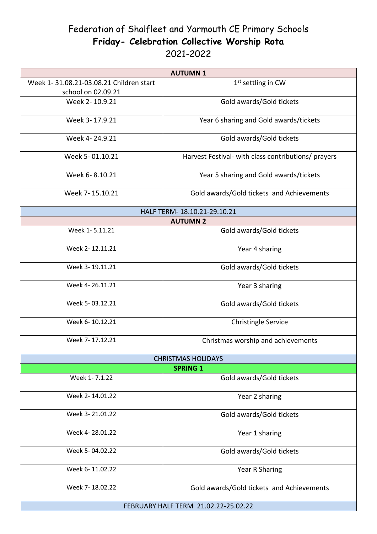## Federation of Shalfleet and Yarmouth CE Primary Schools **Friday- Celebration Collective Worship Rota**  2021-2022

| <b>AUTUMN1</b>                          |                                                     |
|-----------------------------------------|-----------------------------------------------------|
| Week 1-31.08.21-03.08.21 Children start | $1st$ settling in CW                                |
| school on 02.09.21                      |                                                     |
| Week 2-10.9.21                          | Gold awards/Gold tickets                            |
| Week 3-17.9.21                          | Year 6 sharing and Gold awards/tickets              |
| Week 4-24.9.21                          | Gold awards/Gold tickets                            |
| Week 5-01.10.21                         | Harvest Festival- with class contributions/ prayers |
| Week 6-8.10.21                          | Year 5 sharing and Gold awards/tickets              |
| Week 7-15.10.21                         | Gold awards/Gold tickets and Achievements           |
| HALF TERM-18.10.21-29.10.21             |                                                     |
| <b>AUTUMN 2</b>                         |                                                     |
| Week 1-5.11.21                          | Gold awards/Gold tickets                            |
| Week 2-12.11.21                         | Year 4 sharing                                      |
| Week 3-19.11.21                         | Gold awards/Gold tickets                            |
| Week 4-26.11.21                         | Year 3 sharing                                      |
| Week 5-03.12.21                         | Gold awards/Gold tickets                            |
| Week 6-10.12.21                         | <b>Christingle Service</b>                          |
| Week 7-17.12.21                         | Christmas worship and achievements                  |
| <b>CHRISTMAS HOLIDAYS</b>               |                                                     |
| <b>SPRING 1</b>                         |                                                     |
| Week 1-7.1.22                           | Gold awards/Gold tickets                            |
| Week 2-14.01.22                         | Year 2 sharing                                      |
| Week 3-21.01.22                         | Gold awards/Gold tickets                            |
| Week 4-28.01.22                         | Year 1 sharing                                      |
| Week 5-04.02.22                         | Gold awards/Gold tickets                            |
| Week 6-11.02.22                         | Year R Sharing                                      |
| Week 7-18.02.22                         | Gold awards/Gold tickets and Achievements           |
| FEBRUARY HALF TERM 21.02.22-25.02.22    |                                                     |